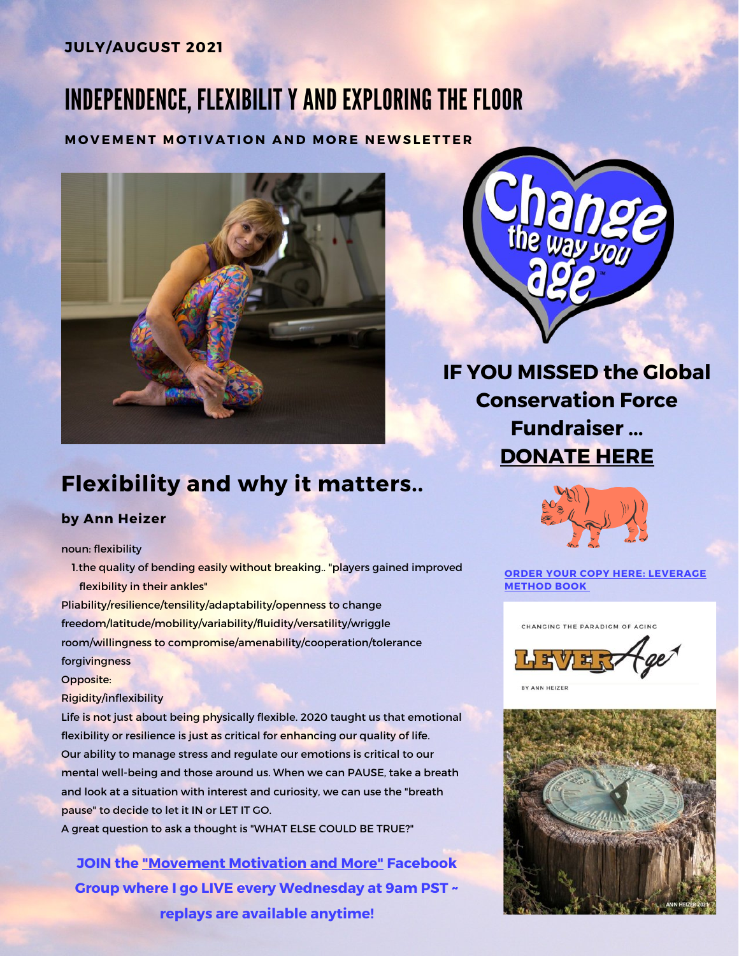## JULY/AUGUST 2021

# INDEPENDENCE, FLEXIBILIT Y AND EXPLORING THE FLOOR

#### MOVEMENT MOTIVATION AND MORE NEWSLETTER



IF YOU MISSED the Global Conservation Force Fundraiser ... [DONATE HERE](https://globalconservationforce.org/donate/)

# Flexibility and why it matters..

#### by Ann Heizer

#### noun: flexibility

1. the quality of bending easily without breaking.. "players gained improved flexibility in their ankles"

Pliability/resilience/tensility/adaptability/openness to change freedom/latitude/mobility/variability/fluidity/versatility/wriggle room/willingness to compromise/amenability/cooperation/tolerance forgivingness

Opposite:

#### Rigidity/inflexibility

Life is not just about being physically flexible. 2020 taught us that emotional flexibility or resilience is just as critical for enhancing our quality of life. Our ability to manage stress and regulate our emotions is critical to our mental well-being and those around us. When we can PAUSE, take a breath and look at a situation with interest and curiosity, we can use the "breath pause" to decide to let it IN or LET IT GO.

A great question to ask a thought is "WHAT ELSE COULD BE TRUE?"

JOIN the ["Movement Motivation and More"](https://www.facebook.com/groups/254045226307587) Facebook Group where I go LIVE every Wednesday at 9am PST ~ replays are available anytime!



[ORDER YOUR COPY HERE: LEVERAGE](http://www.bitly.com/leveragemethod)  METHOD BOOK



BY ANN HEIZER

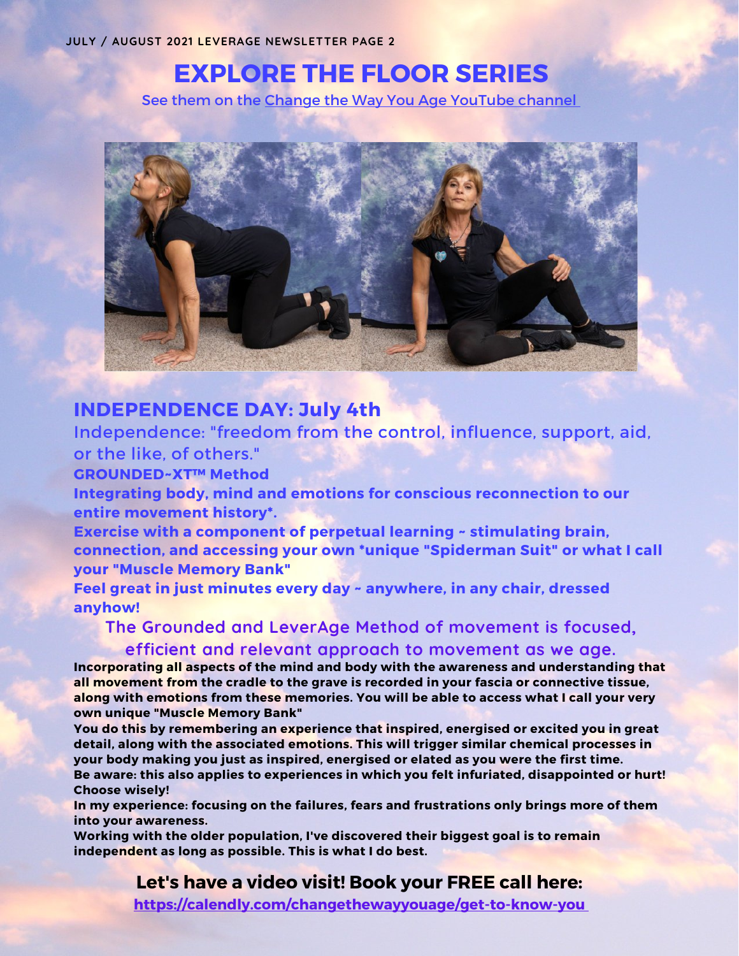# EXPLORE THE FLOOR SERIES

See them on the [Change the Way You Age YouTube channel](https://www.youtube.com/channel/UCcrISlclbOqQTavOT-x8F3w)



## INDEPENDENCE DAY: July 4th

Independence: "freedom from the control, influence, support, aid, or the like, of others."

GROUNDED~XT™ Method

Integrating body, mind and emotions for conscious reconnection to our entire movement history\*.

Exercise with a component of perpetual learning ~ stimulating brain, connection, and accessing your own \*unique "Spiderman Suit" or what I call your "Muscle Memory Bank"

Feel great in just minutes every day ~ anywhere, in any chair, dressed anyhow!

## **The Grounded and LeverAge Method of movement is focused, efficient and relevant approach to movement as we age.**

Incorporating all aspects of the mind and body with the awareness and understanding that all movement from the cradle to the grave is recorded in your fascia or connective tissue, along with emotions from these memories. You will be able to access what I call your very own unique "Muscle Memory Bank"

You do this by remembering an experience that inspired, energised or excited you in great detail, along with the associated emotions. This will trigger similar chemical processes in your body making you just as inspired, energised or elated as you were the first time. Be aware: this also applies to experiences in which you felt infuriated, disappointed or hurt! Choose wisely!

In my experience: focusing on the failures, fears and frustrations only brings more of them into your awareness.

Working with the older population, I've discovered their biggest goal is to remain independent as long as possible. This is what I do best.

Let's have a video visit! Book your FREE call here:

<https://calendly.com/changethewayyouage/get-to-know-you>